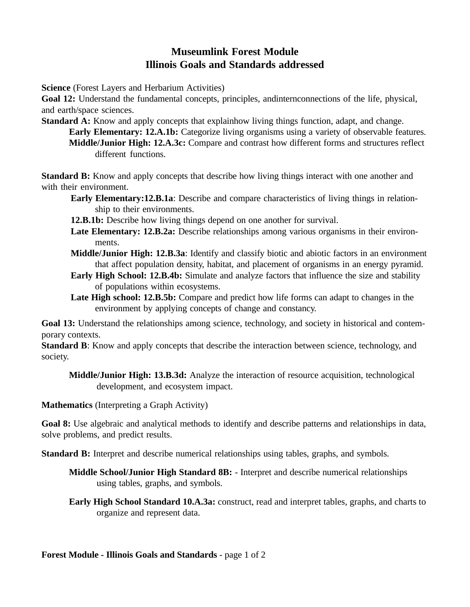## **Museumlink Forest Module Illinois Goals and Standards addressed**

**Science** (Forest Layers and Herbarium Activities)

**Goal 12:** Understand the fundamental concepts, principles, andinternconnections of the life, physical, and earth/space sciences.

**Standard A:** Know and apply concepts that explainhow living things function, adapt, and change. **Early Elementary: 12.A.1b:** Categorize living organisms using a variety of observable features. **Middle/Junior High: 12.A.3c:** Compare and contrast how different forms and structures reflect different functions.

**Standard B:** Know and apply concepts that describe how living things interact with one another and with their environment.

- **Early Elementary:12.B.1a**: Describe and compare characteristics of living things in relationship to their environments.
- **12.B.1b:** Describe how living things depend on one another for survival.
- Late Elementary: 12.B.2a: Describe relationships among various organisms in their environments.
- **Middle/Junior High: 12.B.3a**: Identify and classify biotic and abiotic factors in an environment that affect population density, habitat, and placement of organisms in an energy pyramid.
- **Early High School: 12.B.4b:** Simulate and analyze factors that influence the size and stability of populations within ecosystems.
- **Late High school: 12.B.5b:** Compare and predict how life forms can adapt to changes in the environment by applying concepts of change and constancy.

Goal 13: Understand the relationships among science, technology, and society in historical and contemporary contexts.

**Standard B**: Know and apply concepts that describe the interaction between science, technology, and society.

**Middle/Junior High: 13.B.3d:** Analyze the interaction of resource acquisition, technological development, and ecosystem impact.

**Mathematics** (Interpreting a Graph Activity)

Goal 8: Use algebraic and analytical methods to identify and describe patterns and relationships in data, solve problems, and predict results.

**Standard B:** Interpret and describe numerical relationships using tables, graphs, and symbols.

**Middle School/Junior High Standard 8B:** - Interpret and describe numerical relationships using tables, graphs, and symbols.

**Early High School Standard 10.A.3a:** construct, read and interpret tables, graphs, and charts to organize and represent data.